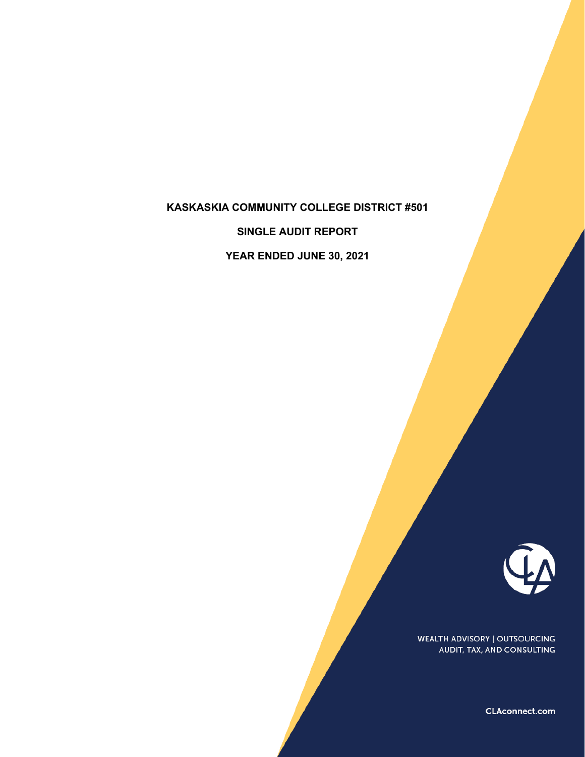## **KASKASKIA COMMUNITY COLLEGE DISTRICT #501**

**SINGLE AUDIT REPORT**

**YEAR ENDED JUNE 30, 2021**



WEALTH ADVISORY | OUTSOURCING AUDIT, TAX, AND CONSULTING

CLAconnect.com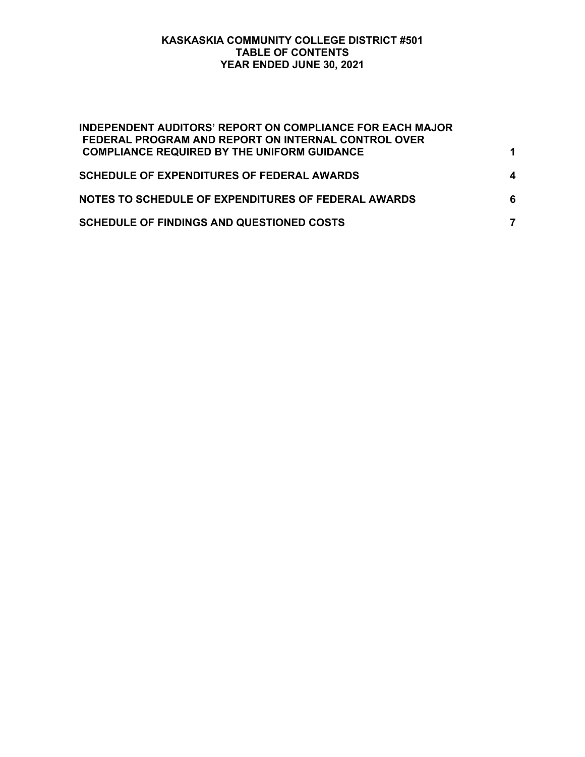## **KASKASKIA COMMUNITY COLLEGE DISTRICT #501 TABLE OF CONTENTS YEAR ENDED JUNE 30, 2021**

| <b>INDEPENDENT AUDITORS' REPORT ON COMPLIANCE FOR EACH MAJOR</b><br>FEDERAL PROGRAM AND REPORT ON INTERNAL CONTROL OVER |   |
|-------------------------------------------------------------------------------------------------------------------------|---|
| <b>COMPLIANCE REQUIRED BY THE UNIFORM GUIDANCE</b>                                                                      |   |
| <b>SCHEDULE OF EXPENDITURES OF FEDERAL AWARDS</b>                                                                       | 4 |
| NOTES TO SCHEDULE OF EXPENDITURES OF FEDERAL AWARDS                                                                     | 6 |
| <b>SCHEDULE OF FINDINGS AND QUESTIONED COSTS</b>                                                                        |   |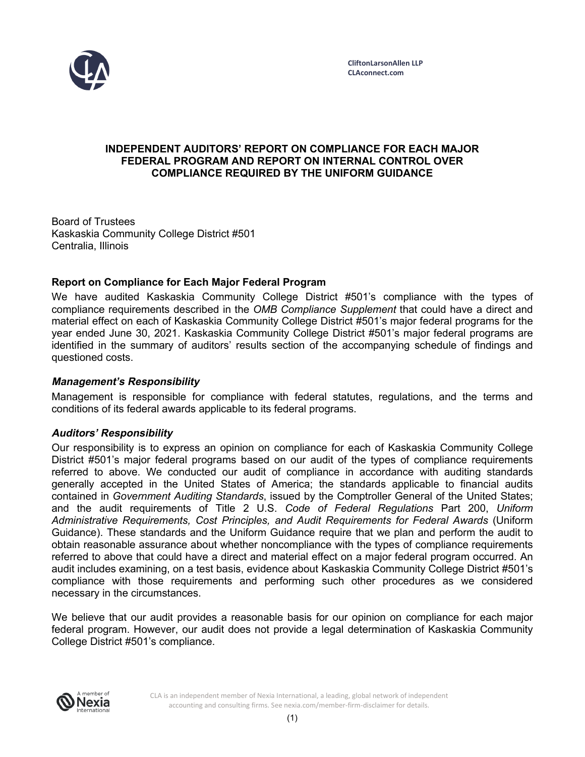

## **INDEPENDENT AUDITORS' REPORT ON COMPLIANCE FOR EACH MAJOR FEDERAL PROGRAM AND REPORT ON INTERNAL CONTROL OVER COMPLIANCE REQUIRED BY THE UNIFORM GUIDANCE**

Board of Trustees Kaskaskia Community College District #501 Centralia, Illinois

## **Report on Compliance for Each Major Federal Program**

We have audited Kaskaskia Community College District #501's compliance with the types of compliance requirements described in the *OMB Compliance Supplement* that could have a direct and material effect on each of Kaskaskia Community College District #501's major federal programs for the year ended June 30, 2021. Kaskaskia Community College District #501's major federal programs are identified in the summary of auditors' results section of the accompanying schedule of findings and questioned costs.

#### **Management's Responsibility**

Management is responsible for compliance with federal statutes, regulations, and the terms and conditions of its federal awards applicable to its federal programs.

#### **Auditors' Responsibility**

Our responsibility is to express an opinion on compliance for each of Kaskaskia Community College District #501's major federal programs based on our audit of the types of compliance requirements referred to above. We conducted our audit of compliance in accordance with auditing standards generally accepted in the United States of America; the standards applicable to financial audits contained in *Government Auditing Standards*, issued by the Comptroller General of the United States; and the audit requirements of Title 2 U.S. *Code of Federal Regulations* Part 200, *Uniform Administrative Requirements, Cost Principles, and Audit Requirements for Federal Awards* (Uniform Guidance). These standards and the Uniform Guidance require that we plan and perform the audit to obtain reasonable assurance about whether noncompliance with the types of compliance requirements referred to above that could have a direct and material effect on a major federal program occurred. An audit includes examining, on a test basis, evidence about Kaskaskia Community College District #501's compliance with those requirements and performing such other procedures as we considered necessary in the circumstances.

We believe that our audit provides a reasonable basis for our opinion on compliance for each major federal program. However, our audit does not provide a legal determination of Kaskaskia Community College District #501's compliance.

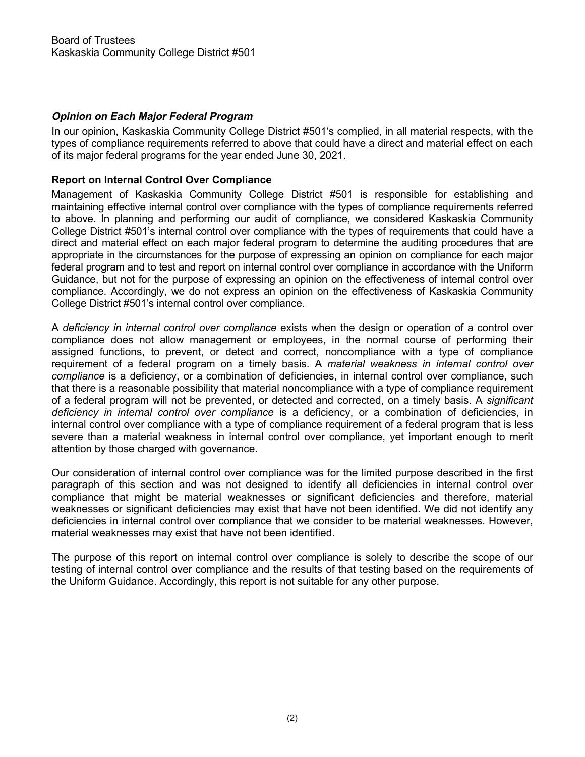## **Opinion on Each Major Federal Program**

In our opinion, Kaskaskia Community College District #501's complied, in all material respects, with the types of compliance requirements referred to above that could have a direct and material effect on each of its major federal programs for the year ended June 30, 2021.

#### **Report on Internal Control Over Compliance**

Management of Kaskaskia Community College District #501 is responsible for establishing and maintaining effective internal control over compliance with the types of compliance requirements referred to above. In planning and performing our audit of compliance, we considered Kaskaskia Community College District #501's internal control over compliance with the types of requirements that could have a direct and material effect on each major federal program to determine the auditing procedures that are appropriate in the circumstances for the purpose of expressing an opinion on compliance for each major federal program and to test and report on internal control over compliance in accordance with the Uniform Guidance, but not for the purpose of expressing an opinion on the effectiveness of internal control over compliance. Accordingly, we do not express an opinion on the effectiveness of Kaskaskia Community College District #501's internal control over compliance.

A *deficiency in internal control over compliance* exists when the design or operation of a control over compliance does not allow management or employees, in the normal course of performing their assigned functions, to prevent, or detect and correct, noncompliance with a type of compliance requirement of a federal program on a timely basis. A *material weakness in internal control over compliance* is a deficiency, or a combination of deficiencies, in internal control over compliance, such that there is a reasonable possibility that material noncompliance with a type of compliance requirement of a federal program will not be prevented, or detected and corrected, on a timely basis. A *significant deficiency in internal control over compliance* is a deficiency, or a combination of deficiencies, in internal control over compliance with a type of compliance requirement of a federal program that is less severe than a material weakness in internal control over compliance, yet important enough to merit attention by those charged with governance.

Our consideration of internal control over compliance was for the limited purpose described in the first paragraph of this section and was not designed to identify all deficiencies in internal control over compliance that might be material weaknesses or significant deficiencies and therefore, material weaknesses or significant deficiencies may exist that have not been identified. We did not identify any deficiencies in internal control over compliance that we consider to be material weaknesses. However, material weaknesses may exist that have not been identified.

The purpose of this report on internal control over compliance is solely to describe the scope of our testing of internal control over compliance and the results of that testing based on the requirements of the Uniform Guidance. Accordingly, this report is not suitable for any other purpose.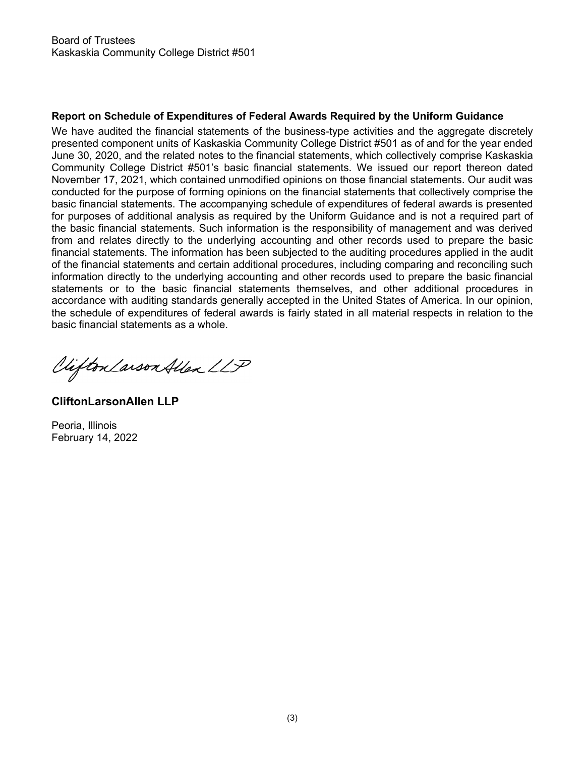## **Report on Schedule of Expenditures of Federal Awards Required by the Uniform Guidance**

We have audited the financial statements of the business-type activities and the aggregate discretely presented component units of Kaskaskia Community College District #501 as of and for the year ended June 30, 2020, and the related notes to the financial statements, which collectively comprise Kaskaskia Community College District #501's basic financial statements. We issued our report thereon dated November 17, 2021, which contained unmodified opinions on those financial statements. Our audit was conducted for the purpose of forming opinions on the financial statements that collectively comprise the basic financial statements. The accompanying schedule of expenditures of federal awards is presented for purposes of additional analysis as required by the Uniform Guidance and is not a required part of the basic financial statements. Such information is the responsibility of management and was derived from and relates directly to the underlying accounting and other records used to prepare the basic financial statements. The information has been subjected to the auditing procedures applied in the audit of the financial statements and certain additional procedures, including comparing and reconciling such information directly to the underlying accounting and other records used to prepare the basic financial statements or to the basic financial statements themselves, and other additional procedures in accordance with auditing standards generally accepted in the United States of America. In our opinion, the schedule of expenditures of federal awards is fairly stated in all material respects in relation to the basic financial statements as a whole.

Viifton Larson Allen LLP

**CliftonLarsonAllen LLP**

Peoria, Illinois February 14, 2022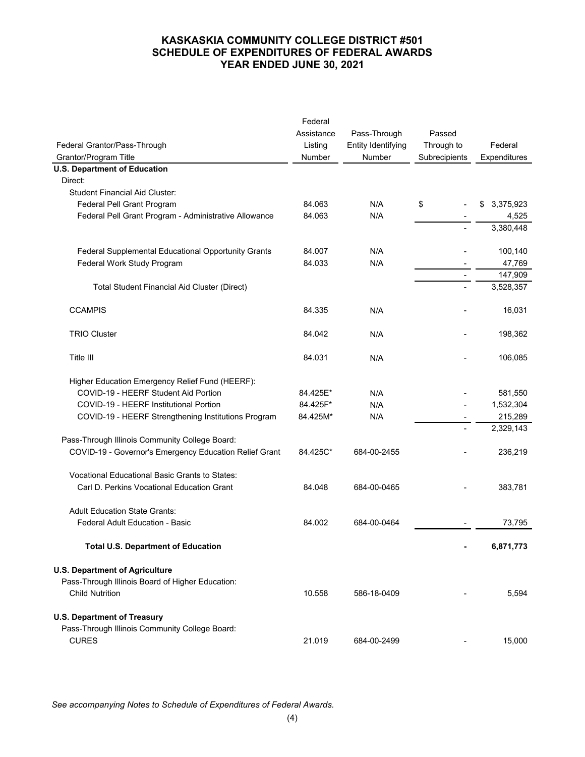## **KASKASKIA COMMUNITY COLLEGE DISTRICT #501 SCHEDULE OF EXPENDITURES OF FEDERAL AWARDS YEAR ENDED JUNE 30, 2021**

|                                                                                           | Federal    |                    |                |                 |
|-------------------------------------------------------------------------------------------|------------|--------------------|----------------|-----------------|
|                                                                                           | Assistance | Pass-Through       | Passed         |                 |
| Federal Grantor/Pass-Through                                                              | Listing    | Entity Identifying | Through to     | Federal         |
| Grantor/Program Title                                                                     | Number     | Number             | Subrecipients  | Expenditures    |
| <b>U.S. Department of Education</b>                                                       |            |                    |                |                 |
| Direct:                                                                                   |            |                    |                |                 |
| <b>Student Financial Aid Cluster:</b>                                                     |            |                    |                |                 |
| Federal Pell Grant Program                                                                | 84.063     | N/A                | \$             | 3,375,923<br>\$ |
| Federal Pell Grant Program - Administrative Allowance                                     | 84.063     | N/A                |                | 4,525           |
|                                                                                           |            |                    |                | 3,380,448       |
|                                                                                           |            |                    |                |                 |
| <b>Federal Supplemental Educational Opportunity Grants</b>                                | 84.007     | N/A                |                | 100,140         |
| Federal Work Study Program                                                                | 84.033     | N/A                |                | 47,769          |
|                                                                                           |            |                    | $\blacksquare$ | 147,909         |
| Total Student Financial Aid Cluster (Direct)                                              |            |                    |                | 3,528,357       |
| <b>CCAMPIS</b>                                                                            | 84.335     | N/A                |                | 16,031          |
| <b>TRIO Cluster</b>                                                                       | 84.042     | N/A                |                | 198,362         |
| Title III                                                                                 | 84.031     | N/A                |                | 106,085         |
|                                                                                           |            |                    |                |                 |
| Higher Education Emergency Relief Fund (HEERF):                                           |            |                    |                |                 |
| COVID-19 - HEERF Student Aid Portion                                                      | 84.425E*   | N/A                |                | 581,550         |
| COVID-19 - HEERF Institutional Portion                                                    | 84.425F*   | N/A                |                | 1,532,304       |
| COVID-19 - HEERF Strengthening Institutions Program                                       | 84.425M*   | N/A                |                | 215,289         |
|                                                                                           |            |                    |                | 2,329,143       |
| Pass-Through Illinois Community College Board:                                            |            |                    |                |                 |
| COVID-19 - Governor's Emergency Education Relief Grant                                    | 84.425C*   | 684-00-2455        |                | 236,219         |
| <b>Vocational Educational Basic Grants to States:</b>                                     |            |                    |                |                 |
| Carl D. Perkins Vocational Education Grant                                                | 84.048     | 684-00-0465        |                | 383,781         |
| <b>Adult Education State Grants:</b>                                                      |            |                    |                |                 |
| Federal Adult Education - Basic                                                           | 84.002     | 684-00-0464        |                | 73,795          |
| <b>Total U.S. Department of Education</b>                                                 |            |                    |                | 6,871,773       |
|                                                                                           |            |                    |                |                 |
| <b>U.S. Department of Agriculture</b><br>Pass-Through Illinois Board of Higher Education: |            |                    |                |                 |
| <b>Child Nutrition</b>                                                                    | 10.558     | 586-18-0409        |                | 5,594           |
|                                                                                           |            |                    |                |                 |
| <b>U.S. Department of Treasury</b>                                                        |            |                    |                |                 |
| Pass-Through Illinois Community College Board:                                            |            |                    |                |                 |
| <b>CURES</b>                                                                              | 21.019     | 684-00-2499        |                | 15,000          |

*See accompanying Notes to Schedule of Expenditures of Federal Awards.*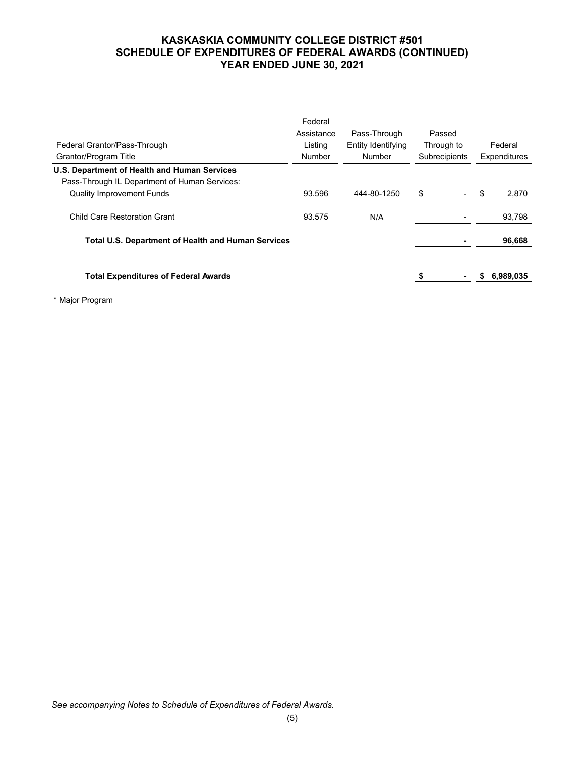## **KASKASKIA COMMUNITY COLLEGE DISTRICT #501 SCHEDULE OF EXPENDITURES OF FEDERAL AWARDS (CONTINUED) YEAR ENDED JUNE 30, 2021**

|                                                           | Federal    |                    |               |              |
|-----------------------------------------------------------|------------|--------------------|---------------|--------------|
|                                                           | Assistance | Pass-Through       | Passed        |              |
| Federal Grantor/Pass-Through                              | Listing    | Entity Identifying | Through to    | Federal      |
| Grantor/Program Title                                     | Number     | Number             | Subrecipients | Expenditures |
| U.S. Department of Health and Human Services              |            |                    |               |              |
| Pass-Through IL Department of Human Services:             |            |                    |               |              |
| <b>Quality Improvement Funds</b>                          | 93.596     | 444-80-1250        | \$            | \$<br>2.870  |
| Child Care Restoration Grant                              | 93.575     | N/A                |               | 93,798       |
| <b>Total U.S. Department of Health and Human Services</b> |            |                    |               | 96,668       |
| <b>Total Expenditures of Federal Awards</b>               |            |                    |               | 6,989,035    |
|                                                           |            |                    |               |              |

\* Major Program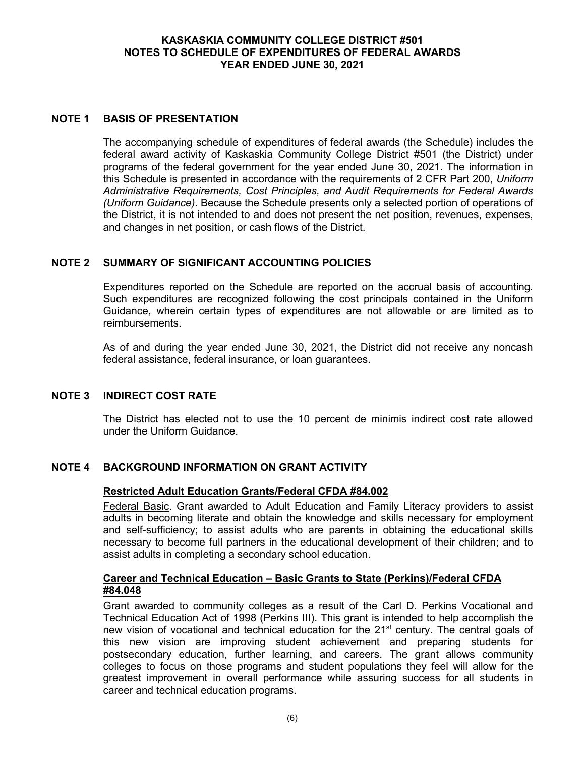#### **KASKASKIA COMMUNITY COLLEGE DISTRICT #501 NOTES TO SCHEDULE OF EXPENDITURES OF FEDERAL AWARDS YEAR ENDED JUNE 30, 2021**

#### **NOTE 1 BASIS OF PRESENTATION**

The accompanying schedule of expenditures of federal awards (the Schedule) includes the federal award activity of Kaskaskia Community College District #501 (the District) under programs of the federal government for the year ended June 30, 2021. The information in this Schedule is presented in accordance with the requirements of 2 CFR Part 200, *Uniform Administrative Requirements, Cost Principles, and Audit Requirements for Federal Awards (Uniform Guidance)*. Because the Schedule presents only a selected portion of operations of the District, it is not intended to and does not present the net position, revenues, expenses, and changes in net position, or cash flows of the District.

## **NOTE 2 SUMMARY OF SIGNIFICANT ACCOUNTING POLICIES**

Expenditures reported on the Schedule are reported on the accrual basis of accounting. Such expenditures are recognized following the cost principals contained in the Uniform Guidance, wherein certain types of expenditures are not allowable or are limited as to reimbursements.

As of and during the year ended June 30, 2021, the District did not receive any noncash federal assistance, federal insurance, or loan guarantees.

#### **NOTE 3 INDIRECT COST RATE**

The District has elected not to use the 10 percent de minimis indirect cost rate allowed under the Uniform Guidance.

#### **NOTE 4 BACKGROUND INFORMATION ON GRANT ACTIVITY**

#### **Restricted Adult Education Grants/Federal CFDA #84.002**

Federal Basic. Grant awarded to Adult Education and Family Literacy providers to assist adults in becoming literate and obtain the knowledge and skills necessary for employment and self-sufficiency; to assist adults who are parents in obtaining the educational skills necessary to become full partners in the educational development of their children; and to assist adults in completing a secondary school education.

#### **Career and Technical Education – Basic Grants to State (Perkins)/Federal CFDA #84.048**

Grant awarded to community colleges as a result of the Carl D. Perkins Vocational and Technical Education Act of 1998 (Perkins III). This grant is intended to help accomplish the new vision of vocational and technical education for the  $21^{st}$  century. The central goals of this new vision are improving student achievement and preparing students for postsecondary education, further learning, and careers. The grant allows community colleges to focus on those programs and student populations they feel will allow for the greatest improvement in overall performance while assuring success for all students in career and technical education programs.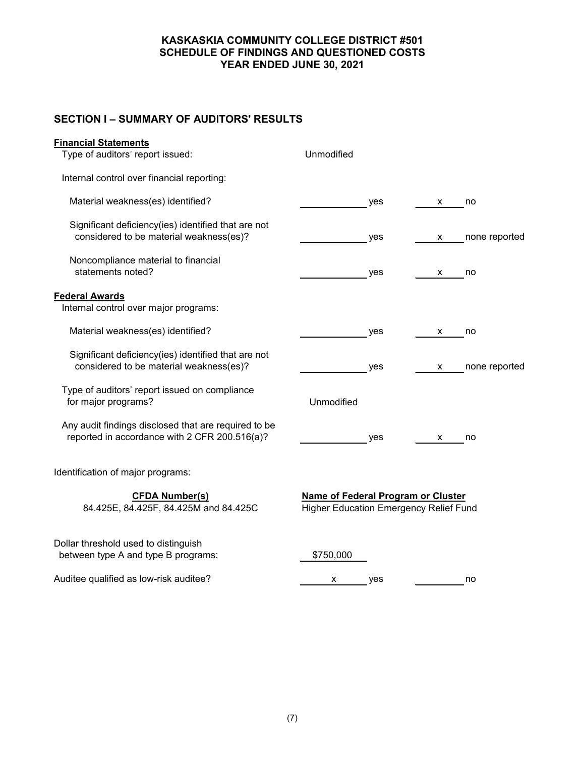#### **KASKASKIA COMMUNITY COLLEGE DISTRICT #501 SCHEDULE OF FINDINGS AND QUESTIONED COSTS YEAR ENDED JUNE 30, 2021**

# **SECTION I – SUMMARY OF AUDITORS' RESULTS**

| <b>Financial Statements</b>                                                                           |                                                                                     |   |               |  |
|-------------------------------------------------------------------------------------------------------|-------------------------------------------------------------------------------------|---|---------------|--|
| Type of auditors' report issued:                                                                      | Unmodified                                                                          |   |               |  |
| Internal control over financial reporting:                                                            |                                                                                     |   |               |  |
| Material weakness(es) identified?                                                                     | yes                                                                                 | x | no            |  |
| Significant deficiency(ies) identified that are not<br>considered to be material weakness(es)?        | yes                                                                                 | х | none reported |  |
| Noncompliance material to financial<br>statements noted?                                              | yes                                                                                 | х | no            |  |
| <b>Federal Awards</b>                                                                                 |                                                                                     |   |               |  |
| Internal control over major programs:                                                                 |                                                                                     |   |               |  |
| Material weakness(es) identified?                                                                     | yes                                                                                 | x | no            |  |
| Significant deficiency(ies) identified that are not<br>considered to be material weakness(es)?        | yes                                                                                 | x | none reported |  |
| Type of auditors' report issued on compliance<br>for major programs?                                  | Unmodified                                                                          |   |               |  |
| Any audit findings disclosed that are required to be<br>reported in accordance with 2 CFR 200.516(a)? | yes                                                                                 | x | no            |  |
| Identification of major programs:                                                                     |                                                                                     |   |               |  |
| <b>CFDA Number(s)</b><br>84.425E, 84.425F, 84.425M and 84.425C                                        | Name of Federal Program or Cluster<br><b>Higher Education Emergency Relief Fund</b> |   |               |  |
| Dollar threshold used to distinguish<br>between type A and type B programs:                           | \$750,000                                                                           |   |               |  |

Auditee qualified as low-risk auditee?  $\frac{x}{1-x}$  yes no